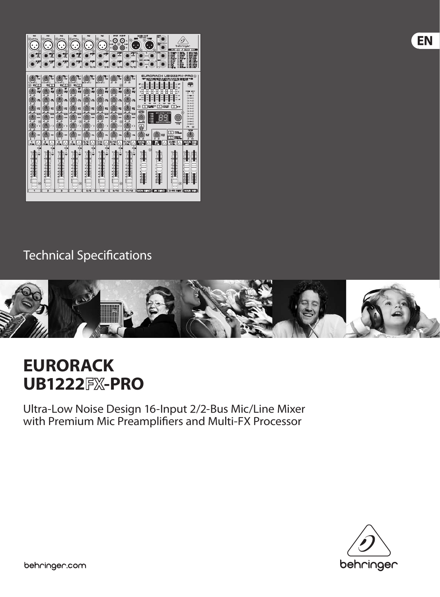

# Technical Specifications



# **EURORACK UB1222 -PRO**

Ultra-Low Noise Design 16-Input 2/2-Bus Mic/Line Mixer with Premium Mic Preamplifiers and Multi-FX Processor



EN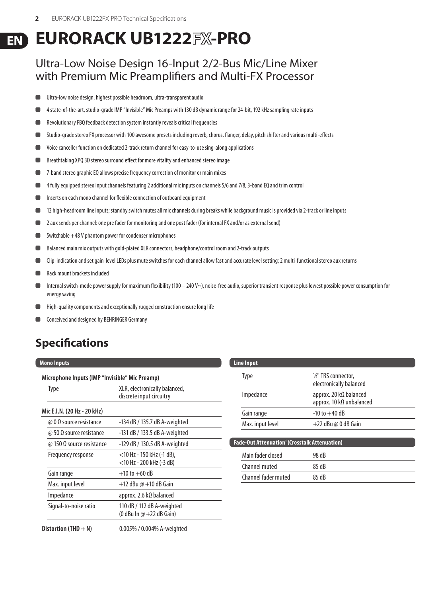#### **EURORACK UB1222 -PRO EN**

#### Ultra-Low Noise Design 16-Input 2/2-Bus Mic/Line Mixer with Premium Mic Preamplifiers and Multi-FX Processor

- Ultra-low noise design, highest possible headroom, ultra-transparent audio
- 4 state-of-the-art, studio-grade IMP "Invisible" Mic Preamps with 130 dB dynamic range for 24-bit, 192 kHz sampling rate inputs
- Revolutionary FBQ feedback detection system instantly reveals critical frequencies
- Studio-grade stereo FX processor with 100 awesome presets including reverb, chorus, flanger, delay, pitch shifter and various multi-effects
- Voice canceller function on dedicated 2-track return channel for easy-to-use sing-along applications
- Breathtaking XPQ 3D stereo surround effect for more vitality and enhanced stereo image
- 7-band stereo graphic EQ allows precise frequency correction of monitor or main mixes
- 4 fully equipped stereo input channels featuring 2 additional mic inputs on channels 5/6 and 7/8, 3-band EQ and trim control
- Inserts on each mono channel for flexible connection of outboard equipment п
- $\blacksquare$ 12 high-headroom line inputs; standby switch mutes all mic channels during breaks while background music is provided via 2-track or line inputs
- 2 aux sends per channel: one pre fader for monitoring and one post fader (for internal FX and/or as external send)  $\blacksquare$
- Switchable +48 V phantom power for condenser microphones
- Balanced main mix outputs with gold-plated XLR connectors, headphone/control room and 2-track outputs
- Clip-indication and set gain-level LEDs plus mute switches for each channel allow fast and accurate level setting; 2 multi-functional stereo aux returns
- Rack mount brackets included
- Internal switch-mode power supply for maximum flexibility (100 240 V~), noise-free audio, superior transient response plus lowest possible power consumption for energy saving
- High-quality components and exceptionally rugged construction ensure long life  $\blacksquare$
- Conceived and designed by BEHRINGER Germany

### **Specifications**

#### **Mono Inputs**

| <b>Type</b>                 | XLR, electronically balanced,<br>discrete input circuitry     |
|-----------------------------|---------------------------------------------------------------|
| Mic E.I.N. (20 Hz - 20 kHz) |                                                               |
| @ 0 Ω source resistance     | -134 dB / 135.7 dB A-weighted                                 |
| @ 50 Ω source resistance    | -131 dB / 133.5 dB A-weighted                                 |
| @ 150 Ω source resistance   | -129 dB / 130.5 dB A-weighted                                 |
| Frequency response          | <10 Hz - 150 kHz (-1 dB),<br><10 Hz - 200 kHz (-3 dB)         |
| Gain range                  | $+10$ to $+60$ dB                                             |
| Max. input level            | $+12$ dBu @ $+10$ dB Gain                                     |
| Impedance                   | approx. 2.6 k $\Omega$ balanced                               |
| Signal-to-noise ratio       | 110 dB / 112 dB A-weighted<br>(0 dBu In $\omega$ +22 dB Gain) |
| Distortion (THD $+$ N)      | 0.005% / 0.004% A-weighted                                    |

| <b>Line Input</b> |                  |                                                            |
|-------------------|------------------|------------------------------------------------------------|
|                   | Type             | 1/4" TRS connector,<br>electronically balanced             |
|                   | Impedance        | approx. 20 k $\Omega$ balanced<br>approx. 10 kΩ unbalanced |
|                   | Gain range       | $-10$ to $+40$ dB                                          |
|                   | Max. input level | $+22$ dBu @ 0 dB Gain                                      |
|                   |                  |                                                            |

| <b>Fade-Out Attenuation<sup>1</sup></b> (Crosstalk Attenuation) |       |  |
|-----------------------------------------------------------------|-------|--|
| Main fader closed                                               | 98 dB |  |
| Channel muted                                                   | 85 dB |  |
| Channel fader muted                                             | 85 dB |  |
|                                                                 |       |  |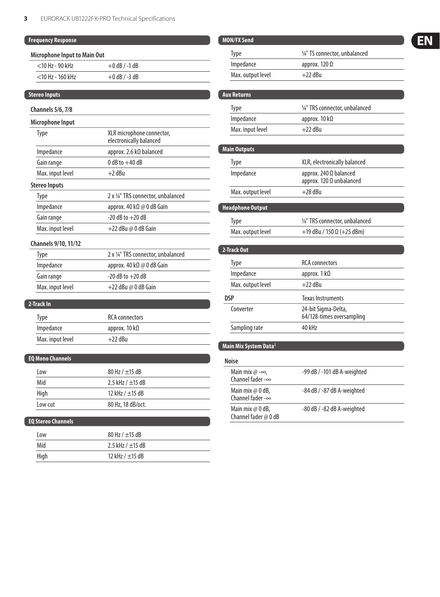| <b>Frequency Response</b>           |                                                      |
|-------------------------------------|------------------------------------------------------|
| <b>Microphone Input to Main Out</b> |                                                      |
| $<$ 10 Hz - 90 kHz                  | $+0$ dB $/ -1$ dB                                    |
| <10 Hz - 160 kHz                    | $+0$ dB $/ -3$ dB                                    |
|                                     |                                                      |
| <b>Stereo Inputs</b>                |                                                      |
| <b>Channels 5/6, 7/8</b>            |                                                      |
| Microphone Input                    |                                                      |
| Type                                | XLR microphone connector,<br>electronically balanced |
| Impedance                           | approx. 2.6 kΩ balanced                              |
| Gain range                          | $0$ dB to $+40$ dB                                   |
| Max. input level                    | $+2$ dBu                                             |
| <b>Stereo Inputs</b>                |                                                      |
| Type                                | 2 x 1/4" TRS connector, unbalanced                   |
| Impedance                           | approx. 40 k $\Omega \otimes 0$ dB Gain              |
| Gain range                          | $-20$ dB to $+20$ dB                                 |
| Max. input level                    | $+22$ dBu @ 0 dB Gain                                |
| Channels 9/10, 11/12                |                                                      |
| Type                                | 2 x 1/4" TRS connector, unbalanced                   |
| Impedance                           | approx. 40 kΩ @ 0 dB Gain                            |
| Gain range                          | $-20$ dB to $+20$ dB                                 |
| Max. input level                    | $+22$ dBu @ 0 dB Gain                                |
| 2-Track In                          |                                                      |
| Type                                | <b>RCA</b> connectors                                |
| Impedance                           | approx. 10 k $\Omega$                                |
| Max. input level                    | $+22$ dBu                                            |
|                                     |                                                      |
| <b>EQ Mono Channels</b>             |                                                      |
| Low                                 | 80 Hz / $\pm$ 15 dB                                  |
| Mid                                 | 2.5 kHz / $\pm$ 15 dB                                |
| High                                | 12 kHz / ±15 dB                                      |
| Low cut                             | 80 Hz, 18 dB/oct.                                    |
|                                     |                                                      |

#### **EQ Stereo Channels**

| Low  | 80 Hz / $\pm$ 15 dB   |
|------|-----------------------|
| Mid  | 2.5 kHz / $\pm$ 15 dB |
| High | 12 kHz / $\pm$ 15 dB  |

| <b>MON/FX Send</b>                                  |                                                  |  |  |
|-----------------------------------------------------|--------------------------------------------------|--|--|
| Type                                                | 1/4" TS connector, unbalanced                    |  |  |
| Impedance                                           | approx. 120 $\Omega$                             |  |  |
| Max. output level                                   | $+22$ dBu                                        |  |  |
|                                                     |                                                  |  |  |
| <b>Aux Returns</b>                                  |                                                  |  |  |
| Type                                                | 1/4" TRS connector, unbalanced                   |  |  |
| Impedance                                           | approx. 10 $k\Omega$                             |  |  |
| Max. input level                                    | $+22$ dBu                                        |  |  |
|                                                     |                                                  |  |  |
| <b>Main Outputs</b>                                 |                                                  |  |  |
| <b>Type</b>                                         | XLR, electronically balanced                     |  |  |
| Impedance                                           | approx. 240 Ω balanced                           |  |  |
|                                                     | approx. 120 $\Omega$ unbalanced                  |  |  |
| Max. output level                                   | $+28$ dBu                                        |  |  |
| <b>Headphone Output</b>                             |                                                  |  |  |
| <b>Type</b>                                         | 1/4" TRS connector, unbalanced                   |  |  |
| Max. output level                                   | +19 dBu / 150 $\Omega$ (+25 dBm)                 |  |  |
|                                                     |                                                  |  |  |
| 2-Track Out                                         |                                                  |  |  |
| <b>Type</b>                                         | <b>RCA</b> connectors                            |  |  |
| Impedance                                           | approx. $1 k\Omega$                              |  |  |
| Max. output level                                   | $+22$ dBu                                        |  |  |
| <b>DSP</b>                                          | <b>Texas Instruments</b>                         |  |  |
| Converter                                           | 24-bit Sigma-Delta,<br>64/128-times oversampling |  |  |
| Sampling rate                                       | 40 kHz                                           |  |  |
| Main Mix System Data <sup>2</sup>                   |                                                  |  |  |
| <b>Noise</b>                                        |                                                  |  |  |
| Main mix $@ - \infty$ ,<br>Channel fader - $\infty$ | -99 dB / -101 dB A-weighted                      |  |  |

-84 dB / -87 dB A-weighted Main mix @ 0 dB,<br>Channel fader -∞ -80 dB / -82 dB A-weighted Main mix  $@$  0 dB,<br>Channel fader  $@$  0 dB

## EN